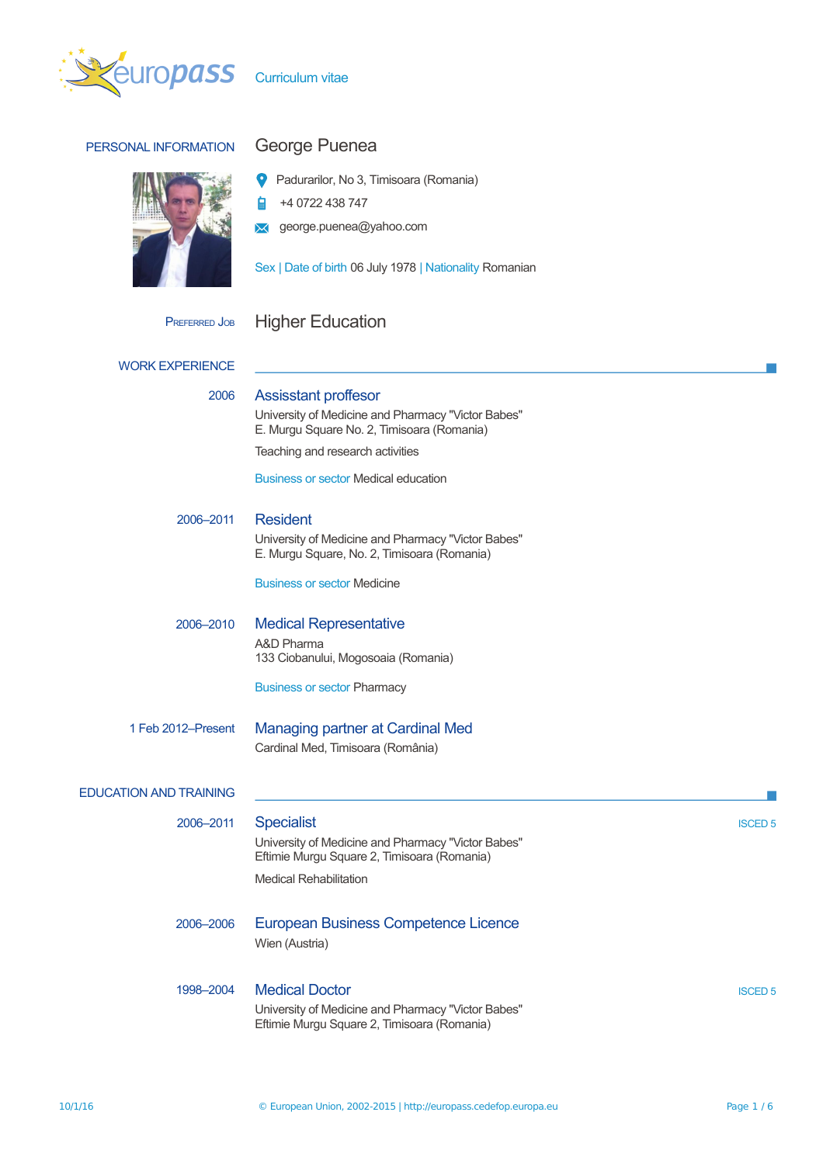

## PERSONAL INFORMATION George Puenea



Padurarilor, No 3, Timisoara (Romania)

+4 0722 438 747 自

**X** george.puenea@yahoo.com

Sex | Date of birth 06 July 1978 | Nationality Romanian

# PREFERRED JOB Higher Education

| <b>WORK EXPERIENCE</b>        |                                                                                                                                                         |                |
|-------------------------------|---------------------------------------------------------------------------------------------------------------------------------------------------------|----------------|
| 2006                          | <b>Assisstant proffesor</b><br>University of Medicine and Pharmacy "Victor Babes"<br>E. Murgu Square No. 2, Timisoara (Romania)                         |                |
|                               | Teaching and research activities                                                                                                                        |                |
|                               | <b>Business or sector Medical education</b>                                                                                                             |                |
| 2006-2011                     | <b>Resident</b><br>University of Medicine and Pharmacy "Victor Babes"                                                                                   |                |
|                               | E. Murgu Square, No. 2, Timisoara (Romania)                                                                                                             |                |
|                               | <b>Business or sector Medicine</b>                                                                                                                      |                |
| 2006-2010                     | <b>Medical Representative</b>                                                                                                                           |                |
|                               | A&D Pharma<br>133 Ciobanului, Mogosoaia (Romania)                                                                                                       |                |
|                               | <b>Business or sector Pharmacy</b>                                                                                                                      |                |
| 1 Feb 2012–Present            | <b>Managing partner at Cardinal Med</b><br>Cardinal Med, Timisoara (România)                                                                            |                |
| <b>EDUCATION AND TRAINING</b> |                                                                                                                                                         |                |
| 2006-2011                     | <b>Specialist</b><br>University of Medicine and Pharmacy "Victor Babes"<br>Eftimie Murgu Square 2, Timisoara (Romania)<br><b>Medical Rehabilitation</b> | <b>ISCED 5</b> |
| 2006-2006                     | <b>European Business Competence Licence</b><br>Wien (Austria)                                                                                           |                |
| 1998-2004                     | <b>Medical Doctor</b><br>University of Medicine and Pharmacy "Victor Babes"<br>Eftimie Murgu Square 2, Timisoara (Romania)                              | <b>ISCED 5</b> |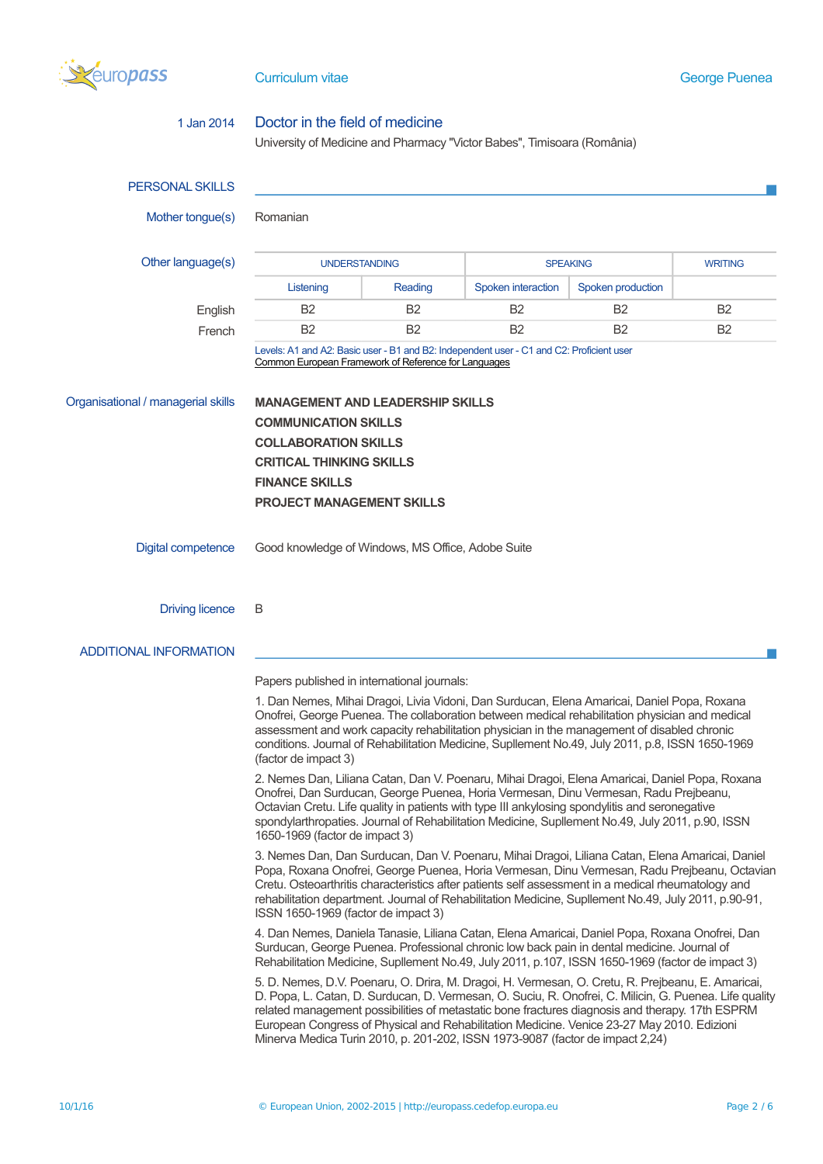

## 1 Jan 2014 Doctor in the field of medicine University of Medicine and Pharmacy ''Victor Babes'', Timisoara (România) PERSONAL SKILLS Mother tongue(s) Romanian Other language(s) UNDERSTANDING SPEAKING SPEAKING WRITING Listening Reading Spoken interaction Spoken production English B2 B2 B2 B2 B2 French B2 B2 B2 B2 B2 B2 Levels: A1 and A2: Basic user - B1 and B2: Independent user - C1 and C2: Proficient user [Common European Framework of Reference for Languages](http://europass.cedefop.europa.eu/en/resources/european-language-levels-cefr) Organisational / managerial skills **MANAGEMENT AND LEADERSHIP SKILLS COMMUNICATION SKILLS COLLABORATION SKILLS CRITICAL THINKING SKILLS FINANCE SKILLS PROJECT MANAGEMENT SKILLS** Digital competence Good knowledge of Windows, MS Office, Adobe Suite Driving licence B ADDITIONAL INFORMATION Papers published in international journals: 1. Dan Nemes, Mihai Dragoi, Livia Vidoni, Dan Surducan, Elena Amaricai, Daniel Popa, Roxana Onofrei, George Puenea. The collaboration between medical rehabilitation physician and medical assessment and work capacity rehabilitation physician in the management of disabled chronic conditions. Journal of Rehabilitation Medicine, Supllement No.49, July 2011, p.8, ISSN 1650-1969 (factor de impact 3) 2. Nemes Dan, Liliana Catan, Dan V. Poenaru, Mihai Dragoi, Elena Amaricai, Daniel Popa, Roxana Onofrei, Dan Surducan, George Puenea, Horia Vermesan, Dinu Vermesan, Radu Prejbeanu, Octavian Cretu. Life quality in patients with type III ankylosing spondylitis and seronegative spondylarthropaties. Journal of Rehabilitation Medicine, Supllement No.49, July 2011, p.90, ISSN 1650-1969 (factor de impact 3) 3. Nemes Dan, Dan Surducan, Dan V. Poenaru, Mihai Dragoi, Liliana Catan, Elena Amaricai, Daniel Popa, Roxana Onofrei, George Puenea, Horia Vermesan, Dinu Vermesan, Radu Prejbeanu, Octavian Cretu. Osteoarthritis characteristics after patients self assessment in a medical rheumatology and rehabilitation department. Journal of Rehabilitation Medicine, Supllement No.49, July 2011, p.90-91, ISSN 1650-1969 (factor de impact 3) 4. Dan Nemes, Daniela Tanasie, Liliana Catan, Elena Amaricai, Daniel Popa, Roxana Onofrei, Dan Surducan, George Puenea. Professional chronic low back pain in dental medicine. Journal of Rehabilitation Medicine, Supllement No.49, July 2011, p.107, ISSN 1650-1969 (factor de impact 3) 5. D. Nemes, D.V. Poenaru, O. Drira, M. Dragoi, H. Vermesan, O. Cretu, R. Prejbeanu, E. Amaricai, D. Popa, L. Catan, D. Surducan, D. Vermesan, O. Suciu, R. Onofrei, C. Milicin, G. Puenea. Life quality related management possibilities of metastatic bone fractures diagnosis and therapy. 17th ESPRM European Congress of Physical and Rehabilitation Medicine. Venice 23-27 May 2010. Edizioni Minerva Medica Turin 2010, p. 201-202, ISSN 1973-9087 (factor de impact 2,24)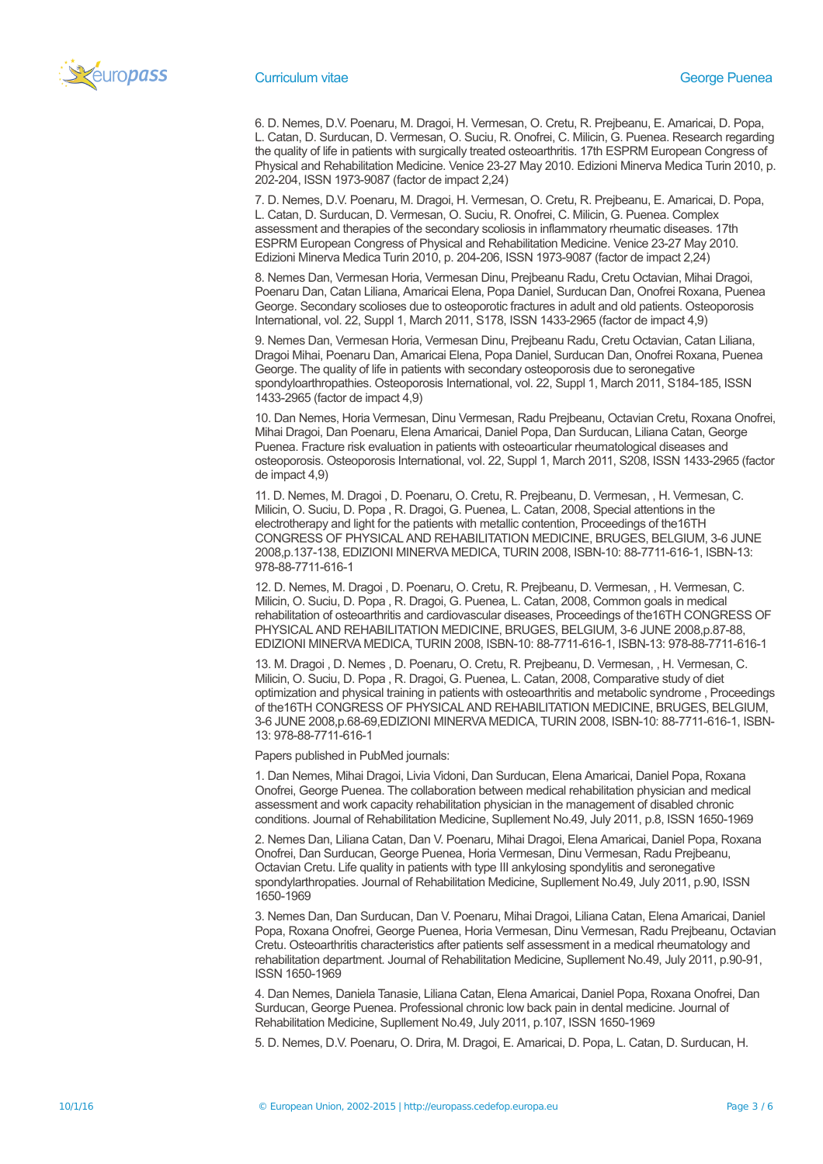

6. D. Nemes, D.V. Poenaru, M. Dragoi, H. Vermesan, O. Cretu, R. Prejbeanu, E. Amaricai, D. Popa, L. Catan, D. Surducan, D. Vermesan, O. Suciu, R. Onofrei, C. Milicin, G. Puenea. Research regarding the quality of life in patients with surgically treated osteoarthritis. 17th ESPRM European Congress of Physical and Rehabilitation Medicine. Venice 23-27 May 2010. Edizioni Minerva Medica Turin 2010, p. 202-204, ISSN 1973-9087 (factor de impact 2,24)

7. D. Nemes, D.V. Poenaru, M. Dragoi, H. Vermesan, O. Cretu, R. Prejbeanu, E. Amaricai, D. Popa, L. Catan, D. Surducan, D. Vermesan, O. Suciu, R. Onofrei, C. Milicin, G. Puenea. Complex assessment and therapies of the secondary scoliosis in inflammatory rheumatic diseases. 17th ESPRM European Congress of Physical and Rehabilitation Medicine. Venice 23-27 May 2010. Edizioni Minerva Medica Turin 2010, p. 204-206, ISSN 1973-9087 (factor de impact 2,24)

8. Nemes Dan, Vermesan Horia, Vermesan Dinu, Prejbeanu Radu, Cretu Octavian, Mihai Dragoi, Poenaru Dan, Catan Liliana, Amaricai Elena, Popa Daniel, Surducan Dan, Onofrei Roxana, Puenea George. Secondary scolioses due to osteoporotic fractures in adult and old patients. Osteoporosis International, vol. 22, Suppl 1, March 2011, S178, ISSN 1433-2965 (factor de impact 4,9)

9. Nemes Dan, Vermesan Horia, Vermesan Dinu, Prejbeanu Radu, Cretu Octavian, Catan Liliana, Dragoi Mihai, Poenaru Dan, Amaricai Elena, Popa Daniel, Surducan Dan, Onofrei Roxana, Puenea George. The quality of life in patients with secondary osteoporosis due to seronegative spondyloarthropathies. Osteoporosis International, vol. 22, Suppl 1, March 2011, S184-185, ISSN 1433-2965 (factor de impact 4,9)

10. Dan Nemes, Horia Vermesan, Dinu Vermesan, Radu Prejbeanu, Octavian Cretu, Roxana Onofrei, Mihai Dragoi, Dan Poenaru, Elena Amaricai, Daniel Popa, Dan Surducan, Liliana Catan, George Puenea. Fracture risk evaluation in patients with osteoarticular rheumatological diseases and osteoporosis. Osteoporosis International, vol. 22, Suppl 1, March 2011, S208, ISSN 1433-2965 (factor de impact 4,9)

11. D. Nemes, M. Dragoi , D. Poenaru, O. Cretu, R. Prejbeanu, D. Vermesan, , H. Vermesan, C. Milicin, O. Suciu, D. Popa , R. Dragoi, G. Puenea, L. Catan, 2008, Special attentions in the electrotherapy and light for the patients with metallic contention, Proceedings of the16TH CONGRESS OF PHYSICAL AND REHABILITATION MEDICINE, BRUGES, BELGIUM, 3-6 JUNE 2008,p.137-138, EDIZIONI MINERVA MEDICA, TURIN 2008, ISBN-10: 88-7711-616-1, ISBN-13: 978-88-7711-616-1

12. D. Nemes, M. Dragoi , D. Poenaru, O. Cretu, R. Prejbeanu, D. Vermesan, , H. Vermesan, C. Milicin, O. Suciu, D. Popa , R. Dragoi, G. Puenea, L. Catan, 2008, Common goals in medical rehabilitation of osteoarthritis and cardiovascular diseases, Proceedings of the16TH CONGRESS OF PHYSICAL AND REHABILITATION MEDICINE, BRUGES, BELGIUM, 3-6 JUNE 2008,p.87-88, EDIZIONI MINERVA MEDICA, TURIN 2008, ISBN-10: 88-7711-616-1, ISBN-13: 978-88-7711-616-1

13. M. Dragoi , D. Nemes , D. Poenaru, O. Cretu, R. Prejbeanu, D. Vermesan, , H. Vermesan, C. Milicin, O. Suciu, D. Popa , R. Dragoi, G. Puenea, L. Catan, 2008, Comparative study of diet optimization and physical training in patients with osteoarthritis and metabolic syndrome , Proceedings of the16TH CONGRESS OF PHYSICAL AND REHABILITATION MEDICINE, BRUGES, BELGIUM, 3-6 JUNE 2008,p.68-69,EDIZIONI MINERVA MEDICA, TURIN 2008, ISBN-10: 88-7711-616-1, ISBN-13: 978-88-7711-616-1

Papers published in PubMed journals:

1. Dan Nemes, Mihai Dragoi, Livia Vidoni, Dan Surducan, Elena Amaricai, Daniel Popa, Roxana Onofrei, George Puenea. The collaboration between medical rehabilitation physician and medical assessment and work capacity rehabilitation physician in the management of disabled chronic conditions. Journal of Rehabilitation Medicine, Supllement No.49, July 2011, p.8, ISSN 1650-1969

2. Nemes Dan, Liliana Catan, Dan V. Poenaru, Mihai Dragoi, Elena Amaricai, Daniel Popa, Roxana Onofrei, Dan Surducan, George Puenea, Horia Vermesan, Dinu Vermesan, Radu Prejbeanu, Octavian Cretu. Life quality in patients with type III ankylosing spondylitis and seronegative spondylarthropaties. Journal of Rehabilitation Medicine, Supllement No.49, July 2011, p.90, ISSN 1650-1969

3. Nemes Dan, Dan Surducan, Dan V. Poenaru, Mihai Dragoi, Liliana Catan, Elena Amaricai, Daniel Popa, Roxana Onofrei, George Puenea, Horia Vermesan, Dinu Vermesan, Radu Prejbeanu, Octavian Cretu. Osteoarthritis characteristics after patients self assessment in a medical rheumatology and rehabilitation department. Journal of Rehabilitation Medicine, Supllement No.49, July 2011, p.90-91, ISSN 1650-1969

4. Dan Nemes, Daniela Tanasie, Liliana Catan, Elena Amaricai, Daniel Popa, Roxana Onofrei, Dan Surducan, George Puenea. Professional chronic low back pain in dental medicine. Journal of Rehabilitation Medicine, Supllement No.49, July 2011, p.107, ISSN 1650-1969

5. D. Nemes, D.V. Poenaru, O. Drira, M. Dragoi, E. Amaricai, D. Popa, L. Catan, D. Surducan, H.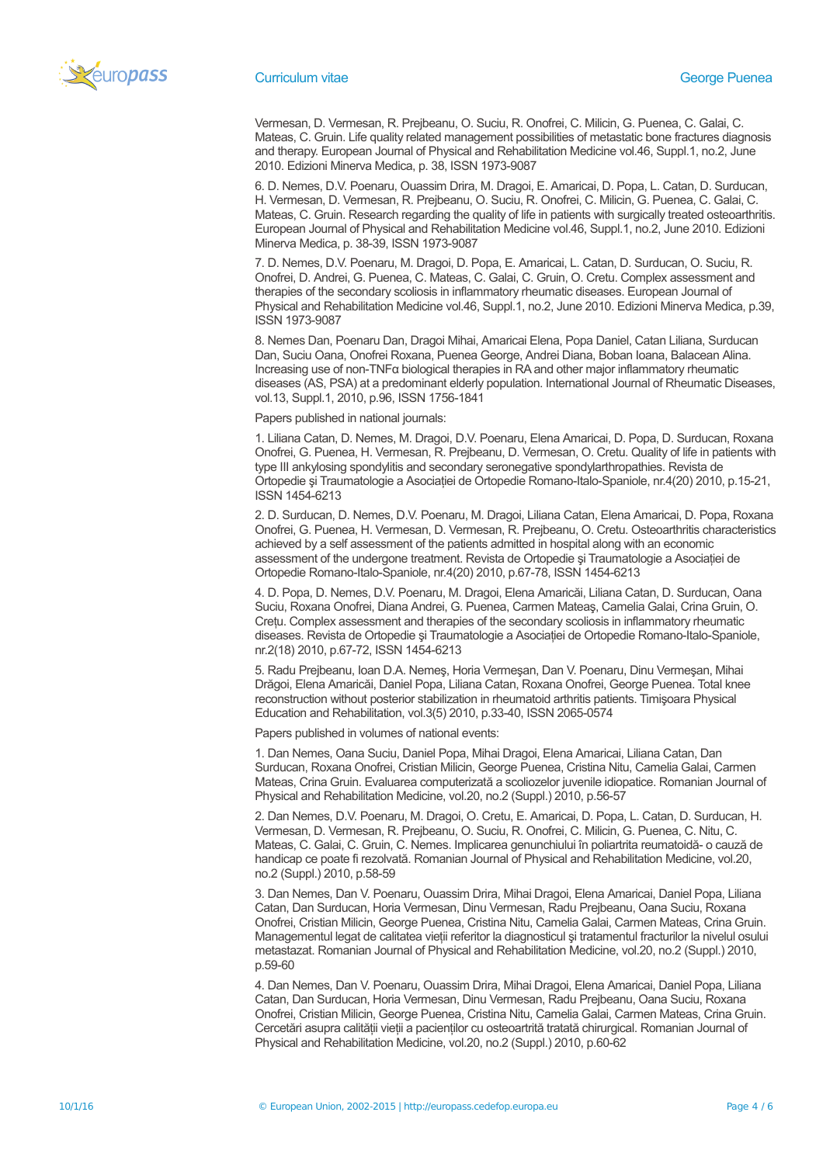

Vermesan, D. Vermesan, R. Prejbeanu, O. Suciu, R. Onofrei, C. Milicin, G. Puenea, C. Galai, C. Mateas, C. Gruin. Life quality related management possibilities of metastatic bone fractures diagnosis and therapy. European Journal of Physical and Rehabilitation Medicine vol.46, Suppl.1, no.2, June 2010. Edizioni Minerva Medica, p. 38, ISSN 1973-9087

6. D. Nemes, D.V. Poenaru, Ouassim Drira, M. Dragoi, E. Amaricai, D. Popa, L. Catan, D. Surducan, H. Vermesan, D. Vermesan, R. Prejbeanu, O. Suciu, R. Onofrei, C. Milicin, G. Puenea, C. Galai, C. Mateas, C. Gruin. Research regarding the quality of life in patients with surgically treated osteoarthritis. European Journal of Physical and Rehabilitation Medicine vol.46, Suppl.1, no.2, June 2010. Edizioni Minerva Medica, p. 38-39, ISSN 1973-9087

7. D. Nemes, D.V. Poenaru, M. Dragoi, D. Popa, E. Amaricai, L. Catan, D. Surducan, O. Suciu, R. Onofrei, D. Andrei, G. Puenea, C. Mateas, C. Galai, C. Gruin, O. Cretu. Complex assessment and therapies of the secondary scoliosis in inflammatory rheumatic diseases. European Journal of Physical and Rehabilitation Medicine vol.46, Suppl.1, no.2, June 2010. Edizioni Minerva Medica, p.39, ISSN 1973-9087

8. Nemes Dan, Poenaru Dan, Dragoi Mihai, Amaricai Elena, Popa Daniel, Catan Liliana, Surducan Dan, Suciu Oana, Onofrei Roxana, Puenea George, Andrei Diana, Boban Ioana, Balacean Alina. Increasing use of non-TNFα biological therapies in RA and other major inflammatory rheumatic diseases (AS, PSA) at a predominant elderly population. International Journal of Rheumatic Diseases, vol.13, Suppl.1, 2010, p.96, ISSN 1756-1841

Papers published in national journals:

1. Liliana Catan, D. Nemes, M. Dragoi, D.V. Poenaru, Elena Amaricai, D. Popa, D. Surducan, Roxana Onofrei, G. Puenea, H. Vermesan, R. Prejbeanu, D. Vermesan, O. Cretu. Quality of life in patients with type III ankylosing spondylitis and secondary seronegative spondylarthropathies. Revista de Ortopedie și Traumatologie a Asociației de Ortopedie Romano-Italo-Spaniole, nr.4(20) 2010, p.15-21, ISSN 1454-6213

2. D. Surducan, D. Nemes, D.V. Poenaru, M. Dragoi, Liliana Catan, Elena Amaricai, D. Popa, Roxana Onofrei, G. Puenea, H. Vermesan, D. Vermesan, R. Prejbeanu, O. Cretu. Osteoarthritis characteristics achieved by a self assessment of the patients admitted in hospital along with an economic assessment of the undergone treatment. Revista de Ortopedie si Traumatologie a Asociatiei de Ortopedie Romano-Italo-Spaniole, nr.4(20) 2010, p.67-78, ISSN 1454-6213

4. D. Popa, D. Nemes, D.V. Poenaru, M. Dragoi, Elena Amaricăi, Liliana Catan, D. Surducan, Oana Suciu, Roxana Onofrei, Diana Andrei, G. Puenea, Carmen Mateaş, Camelia Galai, Crina Gruin, O. Creţu. Complex assessment and therapies of the secondary scoliosis in inflammatory rheumatic diseases. Revista de Ortopedie și Traumatologie a Asociației de Ortopedie Romano-Italo-Spaniole, nr.2(18) 2010, p.67-72, ISSN 1454-6213

5. Radu Prejbeanu, Ioan D.A. Nemeş, Horia Vermeşan, Dan V. Poenaru, Dinu Vermeşan, Mihai Drăgoi, Elena Amaricăi, Daniel Popa, Liliana Catan, Roxana Onofrei, George Puenea. Total knee reconstruction without posterior stabilization in rheumatoid arthritis patients. Timişoara Physical Education and Rehabilitation, vol.3(5) 2010, p.33-40, ISSN 2065-0574

Papers published in volumes of national events:

1. Dan Nemes, Oana Suciu, Daniel Popa, Mihai Dragoi, Elena Amaricai, Liliana Catan, Dan Surducan, Roxana Onofrei, Cristian Milicin, George Puenea, Cristina Nitu, Camelia Galai, Carmen Mateas, Crina Gruin. Evaluarea computerizată a scoliozelor juvenile idiopatice. Romanian Journal of Physical and Rehabilitation Medicine, vol.20, no.2 (Suppl.) 2010, p.56-57

2. Dan Nemes, D.V. Poenaru, M. Dragoi, O. Cretu, E. Amaricai, D. Popa, L. Catan, D. Surducan, H. Vermesan, D. Vermesan, R. Prejbeanu, O. Suciu, R. Onofrei, C. Milicin, G. Puenea, C. Nitu, C. Mateas, C. Galai, C. Gruin, C. Nemes. Implicarea genunchiului în poliartrita reumatoidă- o cauză de handicap ce poate fi rezolvată. Romanian Journal of Physical and Rehabilitation Medicine, vol.20, no.2 (Suppl.) 2010, p.58-59

3. Dan Nemes, Dan V. Poenaru, Ouassim Drira, Mihai Dragoi, Elena Amaricai, Daniel Popa, Liliana Catan, Dan Surducan, Horia Vermesan, Dinu Vermesan, Radu Prejbeanu, Oana Suciu, Roxana Onofrei, Cristian Milicin, George Puenea, Cristina Nitu, Camelia Galai, Carmen Mateas, Crina Gruin. Managementul legat de calitatea vieţii referitor la diagnosticul şi tratamentul fracturilor la nivelul osului metastazat. Romanian Journal of Physical and Rehabilitation Medicine, vol.20, no.2 (Suppl.) 2010, p.59-60

4. Dan Nemes, Dan V. Poenaru, Ouassim Drira, Mihai Dragoi, Elena Amaricai, Daniel Popa, Liliana Catan, Dan Surducan, Horia Vermesan, Dinu Vermesan, Radu Prejbeanu, Oana Suciu, Roxana Onofrei, Cristian Milicin, George Puenea, Cristina Nitu, Camelia Galai, Carmen Mateas, Crina Gruin. Cercetări asupra calității vieții a pacienților cu osteoartrită tratată chirurgical. Romanian Journal of Physical and Rehabilitation Medicine, vol.20, no.2 (Suppl.) 2010, p.60-62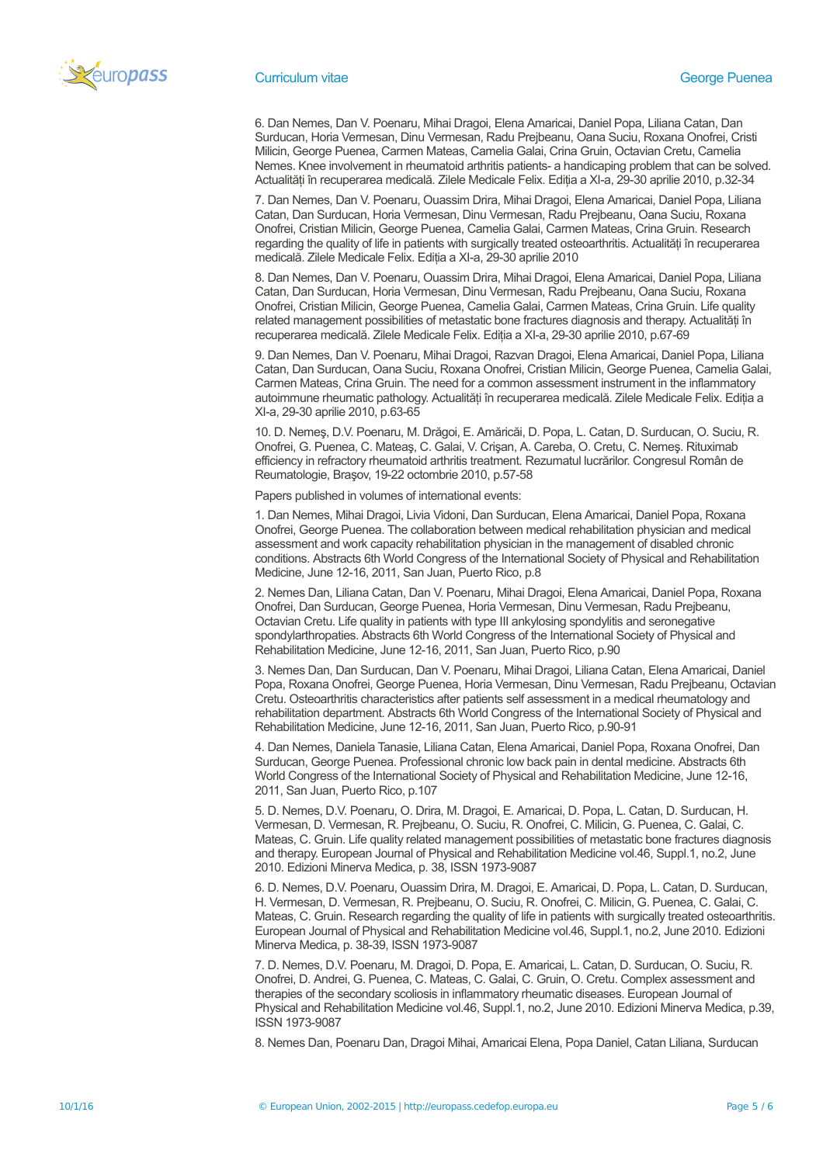

6. Dan Nemes, Dan V. Poenaru, Mihai Dragoi, Elena Amaricai, Daniel Popa, Liliana Catan, Dan Surducan, Horia Vermesan, Dinu Vermesan, Radu Prejbeanu, Oana Suciu, Roxana Onofrei, Cristi Milicin, George Puenea, Carmen Mateas, Camelia Galai, Crina Gruin, Octavian Cretu, Camelia Nemes. Knee involvement in rheumatoid arthritis patients- a handicaping problem that can be solved. Actualităţi în recuperarea medicală. Zilele Medicale Felix. Ediţia a XI-a, 29-30 aprilie 2010, p.32-34

7. Dan Nemes, Dan V. Poenaru, Ouassim Drira, Mihai Dragoi, Elena Amaricai, Daniel Popa, Liliana Catan, Dan Surducan, Horia Vermesan, Dinu Vermesan, Radu Prejbeanu, Oana Suciu, Roxana Onofrei, Cristian Milicin, George Puenea, Camelia Galai, Carmen Mateas, Crina Gruin. Research regarding the quality of life in patients with surgically treated osteoarthritis. Actualități în recuperarea medicală. Zilele Medicale Felix. Ediţia a XI-a, 29-30 aprilie 2010

8. Dan Nemes, Dan V. Poenaru, Ouassim Drira, Mihai Dragoi, Elena Amaricai, Daniel Popa, Liliana Catan, Dan Surducan, Horia Vermesan, Dinu Vermesan, Radu Prejbeanu, Oana Suciu, Roxana Onofrei, Cristian Milicin, George Puenea, Camelia Galai, Carmen Mateas, Crina Gruin. Life quality related management possibilities of metastatic bone fractures diagnosis and therapy. Actualități în recuperarea medicală. Zilele Medicale Felix. Ediția a XI-a, 29-30 aprilie 2010, p.67-69

9. Dan Nemes, Dan V. Poenaru, Mihai Dragoi, Razvan Dragoi, Elena Amaricai, Daniel Popa, Liliana Catan, Dan Surducan, Oana Suciu, Roxana Onofrei, Cristian Milicin, George Puenea, Camelia Galai, Carmen Mateas, Crina Gruin. The need for a common assessment instrument in the inflammatory autoimmune rheumatic pathology. Actualități în recuperarea medicală. Zilele Medicale Felix. Ediția a XI-a, 29-30 aprilie 2010, p.63-65

10. D. Nemeş, D.V. Poenaru, M. Drăgoi, E. Amăricăi, D. Popa, L. Catan, D. Surducan, O. Suciu, R. Onofrei, G. Puenea, C. Mateaş, C. Galai, V. Crişan, A. Careba, O. Cretu, C. Nemeş. Rituximab efficiency in refractory rheumatoid arthritis treatment. Rezumatul lucrărilor. Congresul Român de Reumatologie, Braşov, 19-22 octombrie 2010, p.57-58

Papers published in volumes of international events:

1. Dan Nemes, Mihai Dragoi, Livia Vidoni, Dan Surducan, Elena Amaricai, Daniel Popa, Roxana Onofrei, George Puenea. The collaboration between medical rehabilitation physician and medical assessment and work capacity rehabilitation physician in the management of disabled chronic conditions. Abstracts 6th World Congress of the International Society of Physical and Rehabilitation Medicine, June 12-16, 2011, San Juan, Puerto Rico, p.8

2. Nemes Dan, Liliana Catan, Dan V. Poenaru, Mihai Dragoi, Elena Amaricai, Daniel Popa, Roxana Onofrei, Dan Surducan, George Puenea, Horia Vermesan, Dinu Vermesan, Radu Prejbeanu, Octavian Cretu. Life quality in patients with type III ankylosing spondylitis and seronegative spondylarthropaties. Abstracts 6th World Congress of the International Society of Physical and Rehabilitation Medicine, June 12-16, 2011, San Juan, Puerto Rico, p.90

3. Nemes Dan, Dan Surducan, Dan V. Poenaru, Mihai Dragoi, Liliana Catan, Elena Amaricai, Daniel Popa, Roxana Onofrei, George Puenea, Horia Vermesan, Dinu Vermesan, Radu Prejbeanu, Octavian Cretu. Osteoarthritis characteristics after patients self assessment in a medical rheumatology and rehabilitation department. Abstracts 6th World Congress of the International Society of Physical and Rehabilitation Medicine, June 12-16, 2011, San Juan, Puerto Rico, p.90-91

4. Dan Nemes, Daniela Tanasie, Liliana Catan, Elena Amaricai, Daniel Popa, Roxana Onofrei, Dan Surducan, George Puenea. Professional chronic low back pain in dental medicine. Abstracts 6th World Congress of the International Society of Physical and Rehabilitation Medicine, June 12-16, 2011, San Juan, Puerto Rico, p.107

5. D. Nemes, D.V. Poenaru, O. Drira, M. Dragoi, E. Amaricai, D. Popa, L. Catan, D. Surducan, H. Vermesan, D. Vermesan, R. Prejbeanu, O. Suciu, R. Onofrei, C. Milicin, G. Puenea, C. Galai, C. Mateas, C. Gruin. Life quality related management possibilities of metastatic bone fractures diagnosis and therapy. European Journal of Physical and Rehabilitation Medicine vol.46, Suppl.1, no.2, June 2010. Edizioni Minerva Medica, p. 38, ISSN 1973-9087

6. D. Nemes, D.V. Poenaru, Ouassim Drira, M. Dragoi, E. Amaricai, D. Popa, L. Catan, D. Surducan, H. Vermesan, D. Vermesan, R. Prejbeanu, O. Suciu, R. Onofrei, C. Milicin, G. Puenea, C. Galai, C. Mateas, C. Gruin. Research regarding the quality of life in patients with surgically treated osteoarthritis. European Journal of Physical and Rehabilitation Medicine vol.46, Suppl.1, no.2, June 2010. Edizioni Minerva Medica, p. 38-39, ISSN 1973-9087

7. D. Nemes, D.V. Poenaru, M. Dragoi, D. Popa, E. Amaricai, L. Catan, D. Surducan, O. Suciu, R. Onofrei, D. Andrei, G. Puenea, C. Mateas, C. Galai, C. Gruin, O. Cretu. Complex assessment and therapies of the secondary scoliosis in inflammatory rheumatic diseases. European Journal of Physical and Rehabilitation Medicine vol.46, Suppl.1, no.2, June 2010. Edizioni Minerva Medica, p.39, ISSN 1973-9087

8. Nemes Dan, Poenaru Dan, Dragoi Mihai, Amaricai Elena, Popa Daniel, Catan Liliana, Surducan